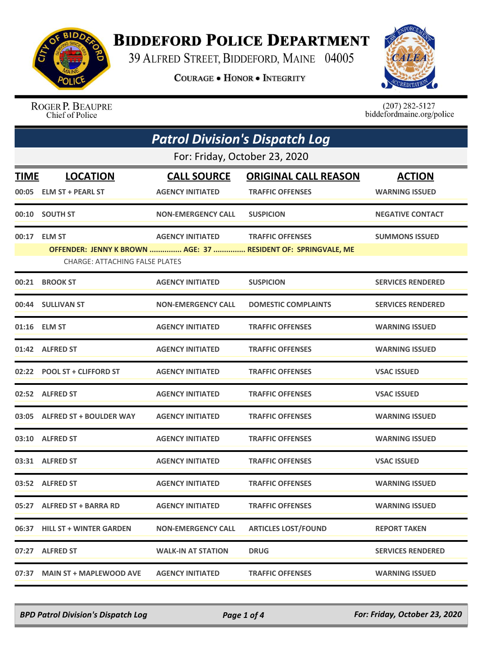

## **BIDDEFORD POLICE DEPARTMENT**

39 ALFRED STREET, BIDDEFORD, MAINE 04005

**COURAGE . HONOR . INTEGRITY** 



ROGER P. BEAUPRE Chief of Police

 $(207)$  282-5127<br>biddefordmaine.org/police

| <b>Patrol Division's Dispatch Log</b> |                                       |                           |                                                               |                          |  |  |
|---------------------------------------|---------------------------------------|---------------------------|---------------------------------------------------------------|--------------------------|--|--|
|                                       | For: Friday, October 23, 2020         |                           |                                                               |                          |  |  |
| <b>LOCATION</b><br>TIME               |                                       | <b>CALL SOURCE</b>        | <b>ORIGINAL CALL REASON</b>                                   | <b>ACTION</b>            |  |  |
|                                       | 00:05 ELM ST + PEARL ST               | <b>AGENCY INITIATED</b>   | <b>TRAFFIC OFFENSES</b>                                       | <b>WARNING ISSUED</b>    |  |  |
|                                       | 00:10 SOUTH ST                        | <b>NON-EMERGENCY CALL</b> | <b>SUSPICION</b>                                              | <b>NEGATIVE CONTACT</b>  |  |  |
|                                       | 00:17 ELM ST                          | <b>AGENCY INITIATED</b>   | <b>TRAFFIC OFFENSES</b>                                       | <b>SUMMONS ISSUED</b>    |  |  |
|                                       | <b>CHARGE: ATTACHING FALSE PLATES</b> |                           | OFFENDER: JENNY K BROWN  AGE: 37  RESIDENT OF: SPRINGVALE, ME |                          |  |  |
|                                       | 00:21 BROOK ST                        | <b>AGENCY INITIATED</b>   | <b>SUSPICION</b>                                              | <b>SERVICES RENDERED</b> |  |  |
|                                       | 00:44 SULLIVAN ST                     | <b>NON-EMERGENCY CALL</b> | <b>DOMESTIC COMPLAINTS</b>                                    | <b>SERVICES RENDERED</b> |  |  |
|                                       | 01:16 ELM ST                          | <b>AGENCY INITIATED</b>   | <b>TRAFFIC OFFENSES</b>                                       | <b>WARNING ISSUED</b>    |  |  |
|                                       | 01:42 ALFRED ST                       | <b>AGENCY INITIATED</b>   | <b>TRAFFIC OFFENSES</b>                                       | <b>WARNING ISSUED</b>    |  |  |
|                                       | 02:22 POOL ST + CLIFFORD ST           | <b>AGENCY INITIATED</b>   | <b>TRAFFIC OFFENSES</b>                                       | <b>VSAC ISSUED</b>       |  |  |
|                                       | 02:52 ALFRED ST                       | <b>AGENCY INITIATED</b>   | <b>TRAFFIC OFFENSES</b>                                       | <b>VSAC ISSUED</b>       |  |  |
|                                       | 03:05 ALFRED ST + BOULDER WAY         | <b>AGENCY INITIATED</b>   | <b>TRAFFIC OFFENSES</b>                                       | <b>WARNING ISSUED</b>    |  |  |
|                                       | 03:10 ALFRED ST                       | <b>AGENCY INITIATED</b>   | <b>TRAFFIC OFFENSES</b>                                       | <b>WARNING ISSUED</b>    |  |  |
|                                       | 03:31 ALFRED ST                       | <b>AGENCY INITIATED</b>   | <b>TRAFFIC OFFENSES</b>                                       | <b>VSAC ISSUED</b>       |  |  |
|                                       | 03:52 ALFRED ST                       | <b>AGENCY INITIATED</b>   | <b>TRAFFIC OFFENSES</b>                                       | <b>WARNING ISSUED</b>    |  |  |
|                                       | 05:27 ALFRED ST + BARRA RD            | <b>AGENCY INITIATED</b>   | <b>TRAFFIC OFFENSES</b>                                       | <b>WARNING ISSUED</b>    |  |  |
|                                       | 06:37 HILL ST + WINTER GARDEN         | <b>NON-EMERGENCY CALL</b> | <b>ARTICLES LOST/FOUND</b>                                    | <b>REPORT TAKEN</b>      |  |  |
|                                       | 07:27 ALFRED ST                       | <b>WALK-IN AT STATION</b> | <b>DRUG</b>                                                   | <b>SERVICES RENDERED</b> |  |  |
| 07:37                                 | <b>MAIN ST + MAPLEWOOD AVE</b>        | <b>AGENCY INITIATED</b>   | <b>TRAFFIC OFFENSES</b>                                       | <b>WARNING ISSUED</b>    |  |  |

*BPD Patrol Division's Dispatch Log Page 1 of 4 For: Friday, October 23, 2020*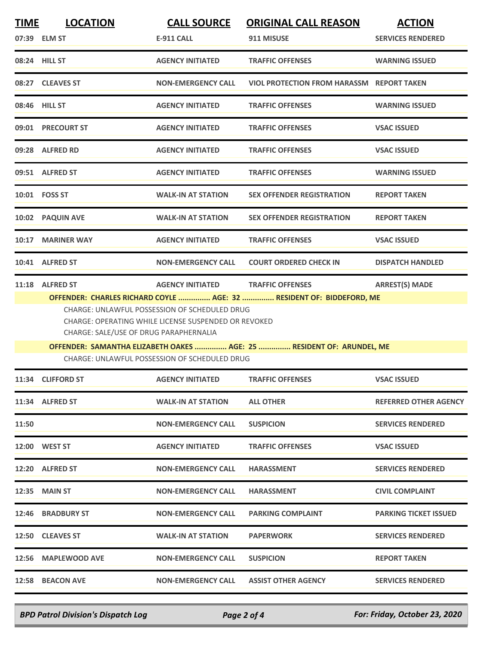| <u>TIME</u> | <b>LOCATION</b>                        | <b>CALL SOURCE</b>                                                                                    | <b>ORIGINAL CALL REASON</b>                                                                     | <b>ACTION</b>                |
|-------------|----------------------------------------|-------------------------------------------------------------------------------------------------------|-------------------------------------------------------------------------------------------------|------------------------------|
|             | 07:39 ELM ST                           | <b>E-911 CALL</b>                                                                                     | 911 MISUSE                                                                                      | <b>SERVICES RENDERED</b>     |
|             | 08:24 HILL ST                          | <b>AGENCY INITIATED</b>                                                                               | <b>TRAFFIC OFFENSES</b>                                                                         | <b>WARNING ISSUED</b>        |
|             | 08:27 CLEAVES ST                       | <b>NON-EMERGENCY CALL</b>                                                                             | <b>VIOL PROTECTION FROM HARASSM REPORT TAKEN</b>                                                |                              |
|             | 08:46 HILL ST                          | <b>AGENCY INITIATED</b>                                                                               | <b>TRAFFIC OFFENSES</b>                                                                         | <b>WARNING ISSUED</b>        |
|             | 09:01 PRECOURT ST                      | <b>AGENCY INITIATED</b>                                                                               | <b>TRAFFIC OFFENSES</b>                                                                         | <b>VSAC ISSUED</b>           |
|             | 09:28 ALFRED RD                        | <b>AGENCY INITIATED</b>                                                                               | <b>TRAFFIC OFFENSES</b>                                                                         | <b>VSAC ISSUED</b>           |
|             | 09:51 ALFRED ST                        | <b>AGENCY INITIATED</b>                                                                               | <b>TRAFFIC OFFENSES</b>                                                                         | <b>WARNING ISSUED</b>        |
|             | 10:01  FOSS ST                         | <b>WALK-IN AT STATION</b>                                                                             | <b>SEX OFFENDER REGISTRATION</b>                                                                | <b>REPORT TAKEN</b>          |
|             | 10:02 PAQUIN AVE                       | <b>WALK-IN AT STATION</b>                                                                             | <b>SEX OFFENDER REGISTRATION</b>                                                                | <b>REPORT TAKEN</b>          |
|             | 10:17 MARINER WAY                      | <b>AGENCY INITIATED</b>                                                                               | <b>TRAFFIC OFFENSES</b>                                                                         | <b>VSAC ISSUED</b>           |
|             | 10:41 ALFRED ST                        | <b>NON-EMERGENCY CALL</b>                                                                             | <b>COURT ORDERED CHECK IN</b>                                                                   | <b>DISPATCH HANDLED</b>      |
|             | 11:18 ALFRED ST                        | <b>AGENCY INITIATED</b>                                                                               | <b>TRAFFIC OFFENSES</b><br>OFFENDER: CHARLES RICHARD COYLE  AGE: 32  RESIDENT OF: BIDDEFORD, ME | <b>ARREST(S) MADE</b>        |
|             | CHARGE: SALE/USE OF DRUG PARAPHERNALIA | CHARGE: UNLAWFUL POSSESSION OF SCHEDULED DRUG<br>CHARGE: OPERATING WHILE LICENSE SUSPENDED OR REVOKED |                                                                                                 |                              |
|             |                                        |                                                                                                       | OFFENDER: SAMANTHA ELIZABETH OAKES  AGE: 25  RESIDENT OF: ARUNDEL, ME                           |                              |
|             |                                        | <b>CHARGE: UNLAWFUL POSSESSION OF SCHEDULED DRUG</b>                                                  |                                                                                                 |                              |
|             | 11:34 CLIFFORD ST                      | AGENCY INITIATED TRAFFIC OFFENSES                                                                     |                                                                                                 | <b>VSAC ISSUED</b>           |
|             | 11:34 ALFRED ST                        | <b>WALK-IN AT STATION</b>                                                                             | <b>ALL OTHER</b>                                                                                | <b>REFERRED OTHER AGENCY</b> |
| 11:50       |                                        | <b>NON-EMERGENCY CALL</b>                                                                             | <b>SUSPICION</b>                                                                                | <b>SERVICES RENDERED</b>     |
|             | 12:00 WEST ST                          | <b>AGENCY INITIATED</b>                                                                               | <b>TRAFFIC OFFENSES</b>                                                                         | <b>VSAC ISSUED</b>           |
|             | 12:20 ALFRED ST                        | <b>NON-EMERGENCY CALL</b>                                                                             | <b>HARASSMENT</b>                                                                               | <b>SERVICES RENDERED</b>     |
|             | 12:35 MAIN ST                          | <b>NON-EMERGENCY CALL</b>                                                                             | <b>HARASSMENT</b>                                                                               | <b>CIVIL COMPLAINT</b>       |
|             | 12:46 BRADBURY ST                      | <b>NON-EMERGENCY CALL</b>                                                                             | <b>PARKING COMPLAINT</b>                                                                        | <b>PARKING TICKET ISSUED</b> |
|             | 12:50 CLEAVES ST                       | <b>WALK-IN AT STATION</b>                                                                             | <b>PAPERWORK</b>                                                                                | <b>SERVICES RENDERED</b>     |
|             | 12:56 MAPLEWOOD AVE                    | <b>NON-EMERGENCY CALL</b>                                                                             | <b>SUSPICION</b>                                                                                | <b>REPORT TAKEN</b>          |
|             | 12:58 BEACON AVE                       | <b>NON-EMERGENCY CALL</b>                                                                             | <b>ASSIST OTHER AGENCY</b>                                                                      | <b>SERVICES RENDERED</b>     |

*BPD Patrol Division's Dispatch Log Page 2 of 4 For: Friday, October 23, 2020*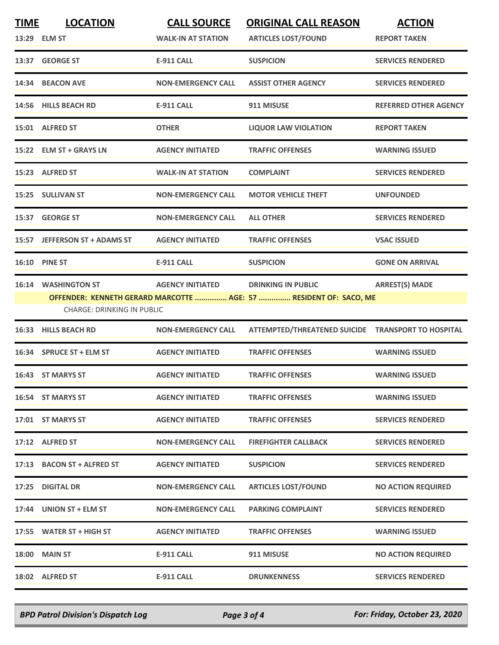| <b>TIME</b> | <b>LOCATION</b><br>13:29 ELM ST                                 | <b>CALL SOURCE</b><br><b>WALK-IN AT STATION</b> | <b>ORIGINAL CALL REASON</b><br><b>ARTICLES LOST/FOUND</b>                                      | <b>ACTION</b><br><b>REPORT TAKEN</b> |
|-------------|-----------------------------------------------------------------|-------------------------------------------------|------------------------------------------------------------------------------------------------|--------------------------------------|
|             | 13:37 GEORGE ST                                                 | <b>E-911 CALL</b>                               | <b>SUSPICION</b>                                                                               | <b>SERVICES RENDERED</b>             |
|             | 14:34 BEACON AVE                                                | <b>NON-EMERGENCY CALL</b>                       | <b>ASSIST OTHER AGENCY</b>                                                                     | <b>SERVICES RENDERED</b>             |
|             | 14:56 HILLS BEACH RD                                            | <b>E-911 CALL</b>                               | 911 MISUSE                                                                                     | <b>REFERRED OTHER AGENCY</b>         |
|             | 15:01 ALFRED ST                                                 | <b>OTHER</b>                                    | <b>LIQUOR LAW VIOLATION</b>                                                                    | <b>REPORT TAKEN</b>                  |
|             | 15:22 ELM ST + GRAYS LN                                         | <b>AGENCY INITIATED</b>                         | <b>TRAFFIC OFFENSES</b>                                                                        | <b>WARNING ISSUED</b>                |
|             | 15:23 ALFRED ST                                                 | <b>WALK-IN AT STATION</b>                       | <b>COMPLAINT</b>                                                                               | <b>SERVICES RENDERED</b>             |
|             | 15:25 SULLIVAN ST                                               | <b>NON-EMERGENCY CALL</b>                       | <b>MOTOR VEHICLE THEFT</b>                                                                     | <b>UNFOUNDED</b>                     |
|             | 15:37 GEORGE ST                                                 | <b>NON-EMERGENCY CALL</b>                       | <b>ALL OTHER</b>                                                                               | <b>SERVICES RENDERED</b>             |
|             | 15:57 JEFFERSON ST + ADAMS ST                                   | <b>AGENCY INITIATED</b>                         | <b>TRAFFIC OFFENSES</b>                                                                        | <b>VSAC ISSUED</b>                   |
|             | <b>16:10 PINE ST</b>                                            | <b>E-911 CALL</b>                               | <b>SUSPICION</b>                                                                               | <b>GONE ON ARRIVAL</b>               |
|             | <b>16:14 WASHINGTON ST</b><br><b>CHARGE: DRINKING IN PUBLIC</b> | <b>AGENCY INITIATED</b>                         | <b>DRINKING IN PUBLIC</b><br>OFFENDER: KENNETH GERARD MARCOTTE  AGE: 57  RESIDENT OF: SACO, ME | <b>ARREST(S) MADE</b>                |
| 16:33       | <b>HILLS BEACH RD</b>                                           | <b>NON-EMERGENCY CALL</b>                       | ATTEMPTED/THREATENED SUICIDE TRANSPORT TO HOSPITAL                                             |                                      |
|             | 16:34 SPRUCE ST + ELM ST                                        | <b>AGENCY INITIATED</b>                         | <b>TRAFFIC OFFENSES</b>                                                                        | <b>WARNING ISSUED</b>                |
|             | 16:43 ST MARYS ST                                               | <b>AGENCY INITIATED</b>                         | <b>TRAFFIC OFFENSES</b>                                                                        | <b>WARNING ISSUED</b>                |
|             | 16:54 ST MARYS ST                                               | <b>AGENCY INITIATED</b>                         | <b>TRAFFIC OFFENSES</b>                                                                        | <b>WARNING ISSUED</b>                |
|             | 17:01 ST MARYS ST                                               | <b>AGENCY INITIATED</b>                         | <b>TRAFFIC OFFENSES</b>                                                                        | <b>SERVICES RENDERED</b>             |
|             | 17:12 ALFRED ST                                                 | <b>NON-EMERGENCY CALL</b>                       | <b>FIREFIGHTER CALLBACK</b>                                                                    | <b>SERVICES RENDERED</b>             |
|             | 17:13 BACON ST + ALFRED ST                                      | <b>AGENCY INITIATED</b>                         | <b>SUSPICION</b>                                                                               | <b>SERVICES RENDERED</b>             |
|             | 17:25 DIGITAL DR                                                | <b>NON-EMERGENCY CALL</b>                       | <b>ARTICLES LOST/FOUND</b>                                                                     | <b>NO ACTION REQUIRED</b>            |
|             | 17:44 UNION ST + ELM ST                                         | <b>NON-EMERGENCY CALL</b>                       | <b>PARKING COMPLAINT</b>                                                                       | <b>SERVICES RENDERED</b>             |
|             | 17:55 WATER ST + HIGH ST                                        | <b>AGENCY INITIATED</b>                         | <b>TRAFFIC OFFENSES</b>                                                                        | <b>WARNING ISSUED</b>                |
|             | 18:00 MAIN ST                                                   | <b>E-911 CALL</b>                               | 911 MISUSE                                                                                     | <b>NO ACTION REQUIRED</b>            |
|             | 18:02 ALFRED ST                                                 | <b>E-911 CALL</b>                               | <b>DRUNKENNESS</b>                                                                             | <b>SERVICES RENDERED</b>             |

*BPD Patrol Division's Dispatch Log Page 3 of 4 For: Friday, October 23, 2020*